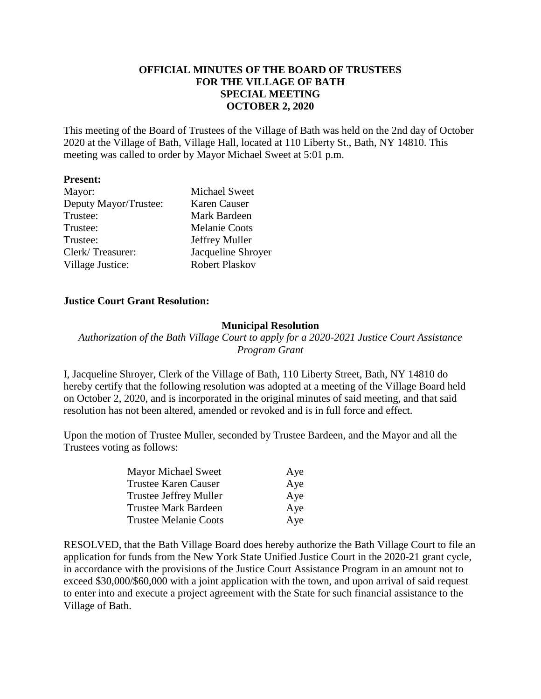## **OFFICIAL MINUTES OF THE BOARD OF TRUSTEES FOR THE VILLAGE OF BATH SPECIAL MEETING OCTOBER 2, 2020**

This meeting of the Board of Trustees of the Village of Bath was held on the 2nd day of October 2020 at the Village of Bath, Village Hall, located at 110 Liberty St., Bath, NY 14810. This meeting was called to order by Mayor Michael Sweet at 5:01 p.m.

#### **Present:**

| Mayor:                | <b>Michael Sweet</b>  |
|-----------------------|-----------------------|
| Deputy Mayor/Trustee: | Karen Causer          |
| Trustee:              | Mark Bardeen          |
| Trustee:              | <b>Melanie Coots</b>  |
| Trustee:              | Jeffrey Muller        |
| Clerk/Treasurer:      | Jacqueline Shroyer    |
| Village Justice:      | <b>Robert Plaskov</b> |

### **Justice Court Grant Resolution:**

### **Municipal Resolution**

*Authorization of the Bath Village Court to apply for a 2020-2021 Justice Court Assistance Program Grant*

I, Jacqueline Shroyer, Clerk of the Village of Bath, 110 Liberty Street, Bath, NY 14810 do hereby certify that the following resolution was adopted at a meeting of the Village Board held on October 2, 2020, and is incorporated in the original minutes of said meeting, and that said resolution has not been altered, amended or revoked and is in full force and effect.

Upon the motion of Trustee Muller, seconded by Trustee Bardeen, and the Mayor and all the Trustees voting as follows:

| <b>Mayor Michael Sweet</b>    | Aye |
|-------------------------------|-----|
| <b>Trustee Karen Causer</b>   | Aye |
| <b>Trustee Jeffrey Muller</b> | Aye |
| <b>Trustee Mark Bardeen</b>   | Aye |
| <b>Trustee Melanie Coots</b>  | Aye |

RESOLVED, that the Bath Village Board does hereby authorize the Bath Village Court to file an application for funds from the New York State Unified Justice Court in the 2020-21 grant cycle, in accordance with the provisions of the Justice Court Assistance Program in an amount not to exceed \$30,000/\$60,000 with a joint application with the town, and upon arrival of said request to enter into and execute a project agreement with the State for such financial assistance to the Village of Bath.